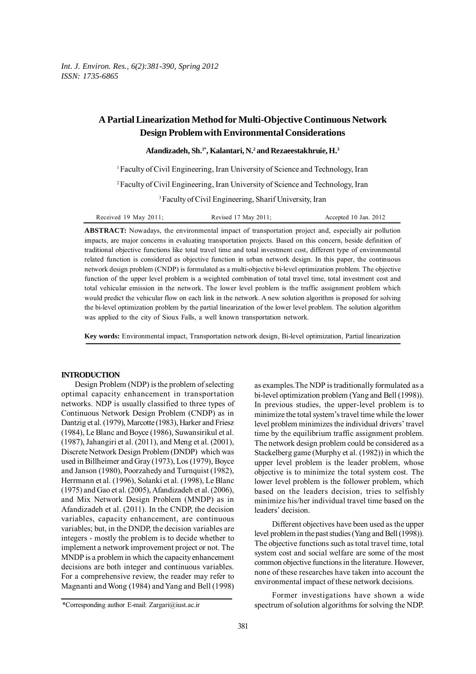# **A Partial Linearization Method for Multi-Objective Continuous Network Design Problem with Environmental Considerations**

#### **Afandizadeh, Sh.1\*, Kalantari, N.2 and Rezaeestakhruie, H.3**

<sup>1</sup> Faculty of Civil Engineering, Iran University of Science and Technology, Iran

2 Faculty of Civil Engineering, Iran University of Science and Technology, Iran

3 Faculty of Civil Engineering, Sharif University, Iran

| Received 19 May 2011; | Revised 17 May 2011; | Accepted 10 Jan. 2012 |
|-----------------------|----------------------|-----------------------|
|-----------------------|----------------------|-----------------------|

**ABSTRACT:** Nowadays, the environmental impact of transportation project and, especially air pollution impacts, are major concerns in evaluating transportation projects. Based on this concern, beside definition of traditional objective functions like total travel time and total investment cost, different type of environmental related function is considered as objective function in urban network design. In this paper, the continuous network design problem (CNDP) is formulated as a multi-objective bi-level optimization problem. The objective function of the upper level problem is a weighted combination of total travel time, total investment cost and total vehicular emission in the network. The lower level problem is the traffic assignment problem which would predict the vehicular flow on each link in the network. A new solution algorithm is proposed for solving the bi-level optimization problem by the partial linearization of the lower level problem. The solution algorithm was applied to the city of Sioux Falls, a well known transportation network.

**Key words:** Environmental impact, Transportation network design, Bi-level optimization, Partial linearization

#### **INTRODUCTION**

Design Problem (NDP) is the problem of selecting optimal capacity enhancement in transportation networks. NDP is usually classified to three types of Continuous Network Design Problem (CNDP) as in Dantzig et al. (1979), Marcotte (1983), Harker and Friesz (1984), Le Blanc and Boyce (1986), Suwansirikul et al. (1987), Jahangiri et al. (2011), and Meng et al. (2001), Discrete Network Design Problem (DNDP) which was used in Billheimer and Gray (1973), Los (1979), Boyce and Janson (1980), Poorzahedy and Turnquist (1982), Herrmann et al. (1996), Solanki et al. (1998), Le Blanc (1975) and Gao et al. (2005), Afandizadeh et al. (2006), and Mix Network Design Problem (MNDP) as in Afandizadeh et al. (2011). In the CNDP, the decision variables, capacity enhancement, are continuous variables; but, in the DNDP, the decision variables are integers - mostly the problem is to decide whether to implement a network improvement project or not. The MNDP is a problem in which the capacity enhancement decisions are both integer and continuous variables. For a comprehensive review, the reader may refer to Magnanti and Wong (1984) and Yang and Bell (1998)

Different objectives have been used as the upper level problem in the past studies (Yang and Bell (1998)). The objective functions such as total travel time, total system cost and social welfare are some of the most common objective functions in the literature. However, none of these researches have taken into account the environmental impact of these network decisions.

Former investigations have shown a wide spectrum of solution algorithms for solving the NDP.

as examples.The NDP is traditionally formulated as a bi-level optimization problem (Yang and Bell (1998)). In previous studies, the upper-level problem is to minimize the total system's travel time while the lower level problem minimizes the individual drivers' travel time by the equilibrium traffic assignment problem. The network design problem could be considered as a Stackelberg game (Murphy et al. (1982)) in which the upper level problem is the leader problem, whose objective is to minimize the total system cost. The lower level problem is the follower problem, which based on the leaders decision, tries to selfishly minimize his/her individual travel time based on the leaders' decision.

<sup>\*</sup>Corresponding author E-mail: Zargari@iust.ac.ir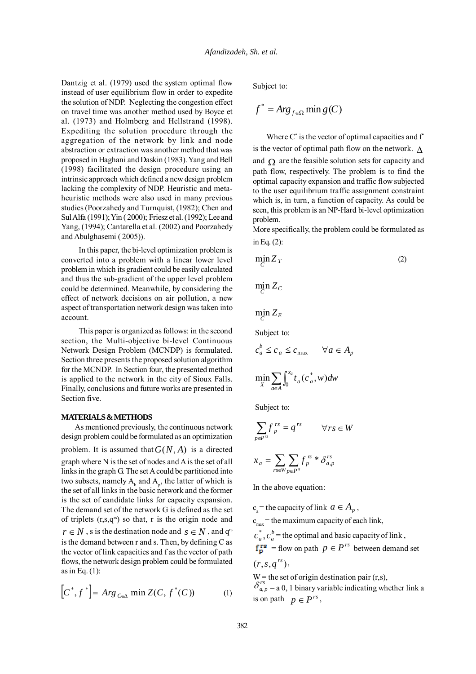Dantzig et al. (1979) used the system optimal flow instead of user equilibrium flow in order to expedite the solution of NDP. Neglecting the congestion effect on travel time was another method used by Boyce et al. (1973) and Holmberg and Hellstrand (1998). Expediting the solution procedure through the aggregation of the network by link and node abstraction or extraction was another method that was proposed in Haghani and Daskin (1983). Yang and Bell (1998) facilitated the design procedure using an intrinsic approach which defined a new design problem lacking the complexity of NDP. Heuristic and metaheuristic methods were also used in many previous studies (Poorzahedy and Turnquist, (1982); Chen and Sul Alfa (1991); Yin ( 2000); Friesz et al. (1992); Lee and Yang, (1994); Cantarella et al. (2002) and Poorzahedy and Abulghasemi ( 2005)).

In this paper, the bi-level optimization problem is converted into a problem with a linear lower level problem in which its gradient could be easily calculated and thus the sub-gradient of the upper level problem could be determined. Meanwhile, by considering the effect of network decisions on air pollution, a new aspect of transportation network design was taken into account.

This paper is organized as follows: in the second section, the Multi-objective bi-level Continuous Network Design Problem (MCNDP) is formulated. Section three presents the proposed solution algorithm for the MCNDP. In Section four, the presented method is applied to the network in the city of Sioux Falls. Finally, conclusions and future works are presented in Section five.

#### **MATERIALS & METHODS**

As mentioned previously, the continuous network design problem could be formulated as an optimization problem. It is assumed that  $G(N, A)$  is a directed graph where N is the set of nodes and A is the set of all links in the graph G. The set A could be partitioned into two subsets, namely  $A_b$  and  $A_p$ , the latter of which is the set of all links in the basic network and the former is the set of candidate links for capacity expansion. The demand set of the network G is defined as the set of triplets  $(r,s,q^{\text{rs}})$  so that, r is the origin node and  $r \in N$ , *s* is the destination node and  $s \in N$ , and  $q^{rs}$ is the demand between r and s. Then, by defining C as the vector of link capacities and f as the vector of path flows, the network design problem could be formulated as in Eq.  $(1)$ :

$$
[C^*, f^*] = Arg_{C \in \Delta} \min Z(C, f^*(C))
$$
  
(1) 
$$
\begin{cases} O_{a,p} = a \ 0, \ 1 \text{ binary with } a \neq p \end{cases}
$$
  
is on path  $p \in P^{rs}$ ,

Subject to:

$$
f^* = \text{Arg}_{f \in \Omega} \min g(C)
$$

Where  $C^*$  is the vector of optimal capacities and  $f^*$ is the vector of optimal path flow on the network.  $\Lambda$ and  $\Omega$  are the feasible solution sets for capacity and path flow, respectively. The problem is to find the optimal capacity expansion and traffic flow subjected to the user equilibrium traffic assignment constraint which is, in turn, a function of capacity. As could be seen, this problem is an NP-Hard bi-level optimization problem.

More specifically, the problem could be formulated as in Eq. (2):

$$
\min_{C} Z_T \tag{2}
$$

$$
\min_{C} Z_C
$$

 $\min_C Z_E$ 

Subject to:

$$
c_a^b \le c_a \le c_{\max} \qquad \forall a \in A_p
$$
  

$$
\min_X \sum_{a \in A} \int_0^{x_a} t_a(c_a^*, w) dw
$$

Subject to:

$$
\sum_{p \in P^{rs}} f_p^{rs} = q^{rs} \qquad \forall rs \in W
$$

$$
x_a = \sum_{rs \in W} \sum_{p \in P^s} f_p^{rs} * \delta_{a,p}^{rs}
$$

In the above equation:

 $c<sub>a</sub>$  = the capacity of link  $a \in A<sub>n</sub>$ ,  $c_{\text{max}}$  = the maximum capacity of each link,  $c_a^*$ ,  $c_a^b$  = the optimal and basic capacity of link,  $f_{p}^{rs}$  = flow on path  $p \in P^{rs}$  between demand set  $(r, s, q^{rs}),$ 

 $W =$  the set of origin destination pair  $(r,s)$ ,  $\delta_{a,p}^{rs} = a \, 0, 1$  binary variable indicating whether link a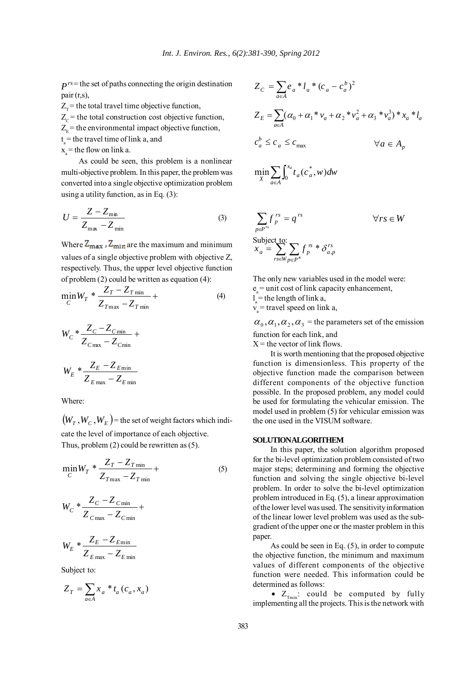$P^{rs}$  the set of paths connecting the origin destination pair (r,s),

 $Z<sub>r</sub>$  = the total travel time objective function,  $Z_c$  = the total construction cost objective function,  $Z<sub>E</sub>$  = the environmental impact objective function,  $t_a$  = the travel time of link a, and

 $x =$  the flow on link a.

As could be seen, this problem is a nonlinear multi-objective problem. In this paper, the problem was converted into a single objective optimization problem using a utility function, as in Eq. (3):

$$
U = \frac{Z - Z_{\text{min}}}{Z_{\text{max}} - Z_{\text{min}}}
$$
 (3)

Where  $Z_{\text{max}}$ ,  $Z_{\text{min}}$  are the maximum and minimum values of a single objective problem with objective Z, respectively. Thus, the upper level objective function of problem (2) could be written as equation (4):

$$
\min_{C} W_T * \frac{Z_T - Z_{T\min}}{Z_{T\max} - Z_{T\min}} +
$$
\n(4)

$$
W_C * \frac{Z_C - Z_{Cmin}}{Z_{Cmax} - Z_{Cmin}} +
$$
  

$$
W_E * \frac{Z_E - Z_{Emin}}{Z_{Emax} - Z_{Emin}}
$$

Where:

 $(W_r, W_r, W_F)$  = the set of weight factors which indicate the level of importance of each objective. Thus, problem (2) could be rewritten as (5).

$$
\min_{C} W_T * \frac{Z_T - Z_{T\min}}{Z_{T\max} - Z_{T\min}} +
$$
\n(5)

$$
W_C * \frac{Z_C - Z_{Cmin}}{Z_{Cmax} - Z_{Cmin}} +
$$

$$
W_E * \frac{Z_E - Z_{E\min}}{Z_{E\max} - Z_{E\min}}
$$

Subject to:

$$
Z_T = \sum_{a \in A} x_a * t_a (c_a, x_a)
$$

$$
Z_C = \sum_{a \in A} e_a * l_a * (c_a - c_a^b)^2
$$
  
\n
$$
Z_E = \sum_{a \in A} (\alpha_0 + \alpha_1 * v_a + \alpha_2 * v_a^2 + \alpha_3 * v_a^3) * x_a * l_a
$$
  
\n
$$
c_a^b \le c_a \le c_{\text{max}}
$$
  
\n
$$
\forall a \in A_p
$$

$$
\min_{X} \sum_{a \in A} \int_0^{x_a} t_a(c_a^*, w) dw
$$

$$
\sum_{p \in P^{rs}} f_p^{rs} = q^{rs} \qquad \forall rs \in W
$$
  
Subject to:  

$$
x_a = \sum_{rs \in W} f_p^{rs} * \delta_{a,p}^{rs}
$$

The only new variables used in the model were:  $e<sub>a</sub>$  = unit cost of link capacity enhancement,

 $l_a$  = the length of link a,

 $v =$  travel speed on link a,

 $\alpha_0$ ,  $\alpha_1$ ,  $\alpha_2$ ,  $\alpha_3$  = the parameters set of the emission function for each link, and

 $X =$  the vector of link flows.

It is worth mentioning that the proposed objective function is dimensionless. This property of the objective function made the comparison between different components of the objective function possible. In the proposed problem, any model could be used for formulating the vehicular emission. The model used in problem (5) for vehicular emission was the one used in the VISUM software.

#### **SOLUTION ALGORITHEM**

In this paper, the solution algorithm proposed for the bi-level optimization problem consisted of two major steps; determining and forming the objective function and solving the single objective bi-level problem. In order to solve the bi-level optimization problem introduced in Eq. (5), a linear approximation of the lower level was used. The sensitivity information of the linear lower level problem was used as the subgradient of the upper one or the master problem in this paper.

As could be seen in Eq. (5), in order to compute the objective function, the minimum and maximum values of different components of the objective function were needed. This information could be determined as follows:

•  $Z_{Tmin}$ : could be computed by fully implementing all the projects. This is the network with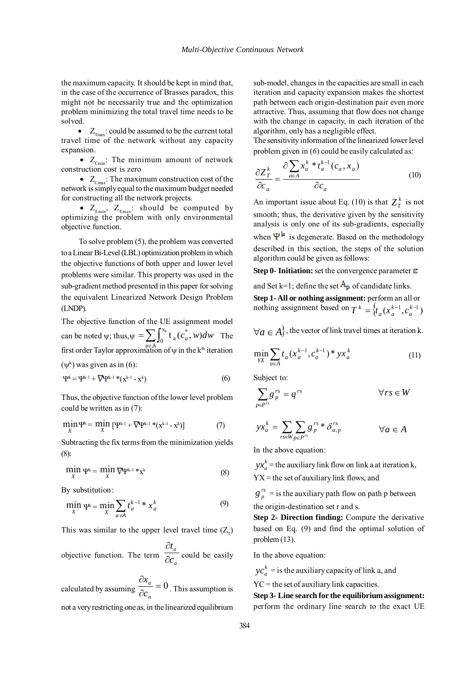the maximum capacity. It should be kept in mind that, in the case of the occurrence of Brasses paradox, this might not be necessarily true and the optimization problem minimizing the total travel time needs to be solved.

•  $Z_{\text{max}}$ : could be assumed to be the current total travel time of the network without any capacity expansion.

•  $Z_{\text{Cmin}}$ : The minimum amount of network construction cost is zero

•  $Z_{\text{Cmax}}$ : The maximum construction cost of the network is simply equal to the maximum budget needed for constructing all the network projects.

•  $Z_{\text{Emin}}$ ,  $Z_{\text{Emax}}$ : should be computed by optimizing the problem with only environmental objective function.

To solve problem (5), the problem was converted to a Linear Bi-Level (LBL) optimization problem in which the objective functions of both upper and lower level problems were similar. This property was used in the sub-gradient method presented in this paper for solving the equivalent Linearized Network Design Problem (LNDP).

The objective function of the UE assignment model can be noted  $\psi$ ; thus,  $\psi = \sum \int_{a}^{b} t_a(c_a, w) dw$  The can be noted  $\psi$ ; thus,  $\psi = \sum_{a \in A} \int_0^{x_a} t_a (c_a^*, w) dw$  The first order Taylor approximation of  $\psi$  in the k<sup>th</sup> iteration  $a \in A$ x  $\boldsymbol{0}$ \* a  $\int_a^a t_a(c_a^*, w) dw$ 

 $(\psi^k)$  was given as in (6):

$$
\Psi^{k} = \Psi^{k-1} + \nabla \Psi^{k-1} * (x^{k-1} - x^{k})
$$
\n(6)

Thus, the objective function of the lower level problem could be written as in (7):

$$
\min_{X} \Psi^{k} = \min_{X} \left[ \Psi^{k-1} + \nabla \Psi^{k-1} * (x^{k-1} - x^{k}) \right] \tag{7}
$$

Subtracting the fix terms from the minimization yields (8):

$$
\min_{X} \Psi^k = \min_{X} \nabla \Psi^{k-1} * x^k \tag{8}
$$

By substitution:

$$
\min_{X} \Psi^k = \min_{X} \sum_{a \in A} t_a^{k-1} * x_a^k \tag{9}
$$

This was similar to the upper level travel time  $(Z<sub>r</sub>)$ 

objective function. The term *a a c t* ∂ ∂ could be easily

calculated by assuming  $\frac{\partial x_a}{\partial c_a} = 0$ ∂ *a a c x* . This assumption is not a very restricting one as, in the linearized equilibrium

sub-model, changes in the capacities are small in each iteration and capacity expansion makes the shortest path between each origin-destination pair even more attractive. Thus, assuming that flow does not change with the change in capacity, in each iteration of the algorithm, only has a negligible effect.

The sensitivity information of the linearized lower level problem given in (6) could be easily calculated as:

$$
\frac{\partial Z_T^k}{\partial c_a} = \frac{\partial \sum_{a \in A} x_a^k * t_a^{k-1} (c_a, x_a)}{\partial c_a} \tag{10}
$$

An important issue about Eq. (10) is that  $Z_T^k$  is not smooth; thus, the derivative given by the sensitivity analysis is only one of its sub-gradients, especially when  $\Psi^{\mathbf{k}}$  is degenerate. Based on the methodology described in this section, the steps of the solution algorithm could be given as follows:

**Step 0- Initiation:** set the convergence parameter  $\boldsymbol{\epsilon}$ 

and Set k=1; define the set  $A_{p}$  of candidate links. **Step 1- All or nothing assignment:** perform an all or nothing assignment based on  $T^k = \{ t_a(x_a^{k-1}, c_a^{k-1}) \}$ *k*  $T^k = \{ t_a(x_a^{k-1}, c_a) \}$ 

 $\forall a \in A$ , the vector of link travel times at iteration k.

$$
\min_{YX} \sum_{a \in A} t_a (x_a^{k-1}, c_a^{k-1})^* y x_a^k \tag{11}
$$

Subject to:

$$
\sum_{p \in P^{rs}} g_p^{rs} = q^{rs} \qquad \forall rs \in W
$$

$$
yx_a^k = \sum_{rs \in W_{p \in P^r}} \sum_{p \in P^s} g_p^{rs} * \delta_{a,p}^{rs} \qquad \forall a \in A
$$

In the above equation:

 $yx_a^k$  = the auxiliary link flow on link a at iteration k,  $YX =$  the set of auxiliary link flows, and

 $g_p^{rs}$  = is the auxiliary path flow on path p between the origin-destination set r and s.

**Step 2- Direction finding:** Compute the derivative based on Eq. (9) and find the optimal solution of problem (13).

In the above equation:

 $\chi c_a^k$  = is the auxiliary capacity of link a, and

 $YC =$  the set of auxiliary link capacities.

**Step 3- Line search for the equilibrium assignment:** perform the ordinary line search to the exact UE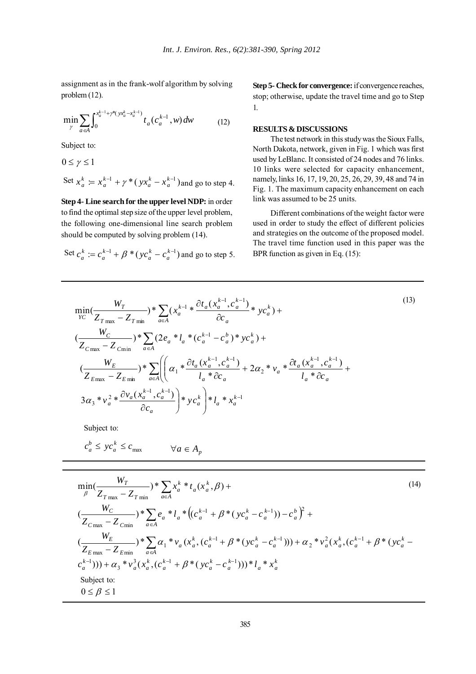assignment as in the frank-wolf algorithm by solving problem (12).

$$
\min_{\gamma} \sum_{a \in A} \int_0^{x_a^{k-1} + \gamma^*(yx_a^k - x_a^{k-1})} t_a(c_a^{k-1}, w) dw \tag{12}
$$

Subject to:

$$
0 \le \gamma \le 1
$$
  
Set  $x_a^k = x_a^{k-1} + \gamma^* (yx_a^k - x_a^{k-1})$  and go to step 4.

**Step 4- Line search for the upper level NDP:** in order to find the optimal step size of the upper level problem, the following one-dimensional line search problem should be computed by solving problem (14).

Set 
$$
c_a^k := c_a^{k-1} + \beta * (yc_a^k - c_a^{k-1})
$$
 and go to step 5.

**Step 5- Check for convergence:** if convergence reaches, stop; otherwise, update the travel time and go to Step 1.

## **RESULTS & DISCUSSIONS**

The test network in this study was the Sioux Falls, North Dakota, network, given in Fig. 1 which was first used by LeBlanc. It consisted of 24 nodes and 76 links. 10 links were selected for capacity enhancement, namely, links 16, 17, 19, 20, 25, 26, 29, 39, 48 and 74 in Fig. 1. The maximum capacity enhancement on each link was assumed to be 25 units.

Different combinations of the weight factor were used in order to study the effect of different policies and strategies on the outcome of the proposed model. The travel time function used in this paper was the BPR function as given in Eq. (15):

$$
(13)
$$

$$
\min_{YC} \left( \frac{W_T}{Z_{T \max} - Z_{T \min}} \right)^* \sum_{a \in A} \left( x_a^{k-1} * \frac{\partial t_a (x_a^{k-1}, c_a^{k-1})}{\partial c_a} * y_c_a^k \right) +
$$
\n
$$
\left( \frac{W_C}{Z_{C \max} - Z_{C \min}} \right)^* \sum_{a \in A} \left( 2e_a * l_a * (c_a^{k-1} - c_a^b) * y_c^k \right) +
$$
\n
$$
\left( \frac{W_E}{Z_{E \max} - Z_{E \min}} \right)^* \sum_{a \in A} \left( \left( \alpha_1 * \frac{\partial t_a (x_a^{k-1}, c_a^{k-1})}{l_a * \partial c_a} + 2\alpha_2 * v_a * \frac{\partial t_a (x_a^{k-1}, c_a^{k-1})}{l_a * \partial c_a} + \frac{\partial t_a (x_a^{k-1}, c_a^{k-1})}{l_a * \partial c_a} \right) * y_c^k \right) + l_a * x_a^{k-1}
$$

 $-1 \le k-$ 

*k*

*k*

Subject to:

$$
c_a^b \le y c_a^k \le c_{\max} \qquad \forall a \in A_p
$$

$$
\min_{\beta} \left( \frac{W_T}{Z_{T_{\text{max}}} - Z_{T_{\text{min}}}} \right) * \sum_{a \in A} x_a^k * t_a(x_a^k, \beta) +
$$
\n
$$
\left( \frac{W_C}{Z_{C_{\text{max}}} - Z_{C_{\text{min}}}} \right) * \sum_{a \in A} e_a * l_a * \left( (c_a^{k-1} + \beta * (y c_a^k - c_a^{k-1})) - c_a^b \right)^2 +
$$
\n
$$
\left( \frac{W_E}{Z_{E_{\text{max}}} - Z_{E_{\text{min}}}} \right) * \sum_{a \in A} \alpha_1 * v_a(x_a^k, (c_a^{k-1} + \beta * (y c_a^k - c_a^{k-1}))) + \alpha_2 * v_a^2(x_a^k, (c_a^{k-1} + \beta * (y c_a^k - c_a^{k-1}))) + \alpha_3 * v_a^3(x_a^k, (c_a^{k-1} + \beta * (y c_a^k - c_a^{k-1}))) * l_a * x_a^k
$$
\n
$$
\text{Subject to:}
$$
\n
$$
0 \le \beta \le 1
$$
\n(14)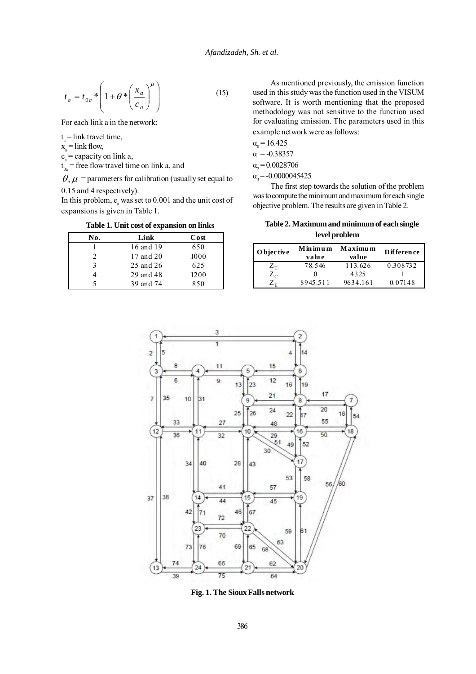$$
t_a = t_{0a} * \left( 1 + \theta * \left( \frac{x_a}{c_a} \right)^{\mu} \right)
$$
 (15)

For each link a in the network:

 $t_{\text{I}}$  = link travel time,

 $x_a$  = link flow,

 $c_a$  = capacity on link a,

 $t_{0a}$  = free flow travel time on link a, and

 $\theta$ ,  $\mu$  = parameters for calibration (usually set equal to 0.15 and 4 respectively).

In this problem,  $e_a$  was set to 0.001 and the unit cost of expansions is given in Table 1.

**Table 1. Unit cost of expansion on links**

| No. | Link      | Cost |
|-----|-----------|------|
|     | 16 and 19 | 650  |
|     | 17 and 20 | 1000 |
| 3   | 25 and 26 | 625  |
|     | 29 and 48 | 1200 |
|     | 39 and 74 | 850  |

As mentioned previously, the emission function used in this study was the function used in the VISUM software. It is worth mentioning that the proposed methodology was not sensitive to the function used for evaluating emission. The parameters used in this example network were as follows:

$$
\alpha_{0} = 16.425
$$

 $\alpha_1 = -0.38357$ 

 $\alpha_{2} = 0.0028706$ 

 $\alpha$ <sub>3</sub> = -0.0000045425

The first step towards the solution of the problem was to compute the minimum and maximum for each single objective problem. The results are given in Table 2.

**Table 2. Maximum and minimum of each single level problem**

| O bjective                        | Minimum<br>valu e | Maximum<br>value | Difference |
|-----------------------------------|-------------------|------------------|------------|
| $\mathcal{L}_{\textrm{\tiny T}}$  | 78.546            | 113.626          | 0.308732   |
| $Z_c$                             |                   | 4325             |            |
| $\mathcal{L}_{\textrm{\tiny{E}}}$ | 8945.511          | 9634.161         | 0.07148    |



**Fig. 1. The Sioux Falls network**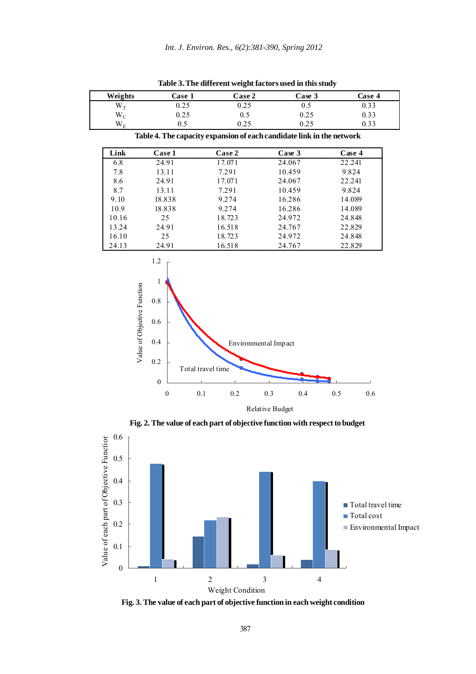| Weights     | Case 1 | Case 2 | Case 3                                                                | Case 4 |
|-------------|--------|--------|-----------------------------------------------------------------------|--------|
| $W_T$       | 0.25   | 0.25   | 0.5                                                                   | 0.33   |
| $W_C$       | 0.25   | 0.5    | 0.25                                                                  | 0.33   |
| $W_{\rm E}$ | 0.5    | 0.25   | 0.25                                                                  | 0.33   |
|             |        |        | Table 4. The capacity expansion of each candidate link in the network |        |
| Link        | Case 1 | Case 2 | Case 3                                                                | Case 4 |
| 6.8         | 24.91  | 17.071 | 24.067                                                                | 22.241 |
| 7.8         | 13.11  | 7.291  | 10.459                                                                | 9.824  |
| 8.6         | 24.91  | 17.071 | 24.067                                                                | 22.241 |
| 8.7         | 13.11  | 7.291  | 10.459                                                                | 9.824  |
| 9.10        | 18.838 | 9.274  | 16.286                                                                | 14.089 |
| 10.9        | 18.838 | 9.274  | 16.286                                                                | 14.089 |
| 10.16       | 25     | 18.723 | 24.972                                                                | 24.848 |
| 13.24       | 24.91  | 16.518 | 24.767                                                                | 22.829 |
| 16.10       | 25     | 18.723 | 24.972                                                                | 24.848 |
| 24.13       | 24.91  | 16.518 | 24.767                                                                | 22.829 |
|             | 1.2    |        |                                                                       |        |

**Table 3. The different weight factors used in this study**



**Fig. 2. The value of each part of objective function with respect to budget**



**Fig. 3. The value of each part of objective function in each weight condition**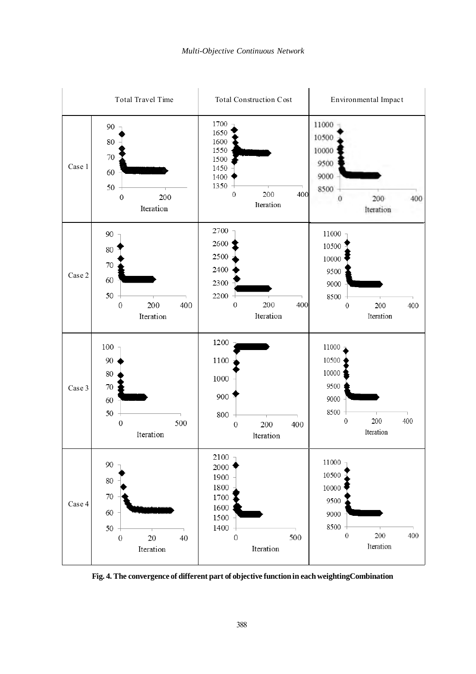

**Fig. 4. The convergence of different part of objective function in each weightingCombination**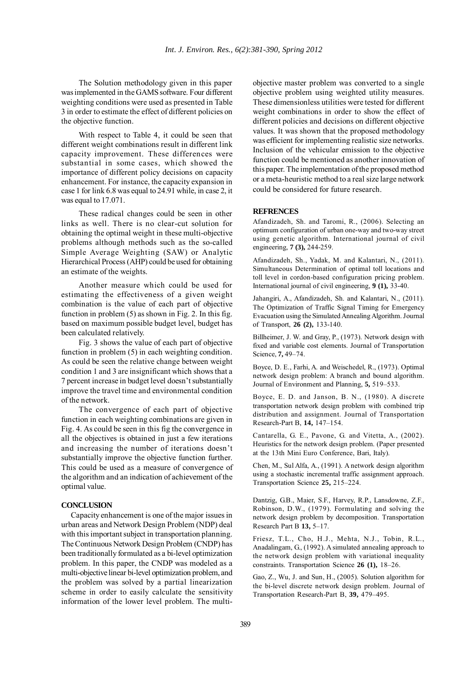The Solution methodology given in this paper was implemented in the GAMS software. Four different weighting conditions were used as presented in Table 3 in order to estimate the effect of different policies on the objective function.

With respect to Table 4, it could be seen that different weight combinations result in different link capacity improvement. These differences were substantial in some cases, which showed the importance of different policy decisions on capacity enhancement. For instance, the capacity expansion in case 1 for link 6.8 was equal to 24.91 while, in case 2, it was equal to 17.071.

These radical changes could be seen in other links as well. There is no clear-cut solution for obtaining the optimal weight in these multi-objective problems although methods such as the so-called Simple Average Weighting (SAW) or Analytic Hierarchical Process (AHP) could be used for obtaining an estimate of the weights.

Another measure which could be used for estimating the effectiveness of a given weight combination is the value of each part of objective function in problem (5) as shown in Fig. 2. In this fig. based on maximum possible budget level, budget has been calculated relatively.

Fig. 3 shows the value of each part of objective function in problem (5) in each weighting condition. As could be seen the relative change between weight condition 1 and 3 are insignificant which shows that a 7 percent increase in budget level doesn't substantially improve the travel time and environmental condition of the network.

The convergence of each part of objective function in each weighting combinations are given in Fig. 4. As could be seen in this fig the convergence in all the objectives is obtained in just a few iterations and increasing the number of iterations doesn't substantially improve the objective function further. This could be used as a measure of convergence of the algorithm and an indication of achievement of the optimal value.

### **CONCLUSION**

Capacity enhancement is one of the major issues in urban areas and Network Design Problem (NDP) deal with this important subject in transportation planning. The Continuous Network Design Problem (CNDP) has been traditionally formulated as a bi-level optimization problem. In this paper, the CNDP was modeled as a multi-objective linear bi-level optimization problem, and the problem was solved by a partial linearization scheme in order to easily calculate the sensitivity information of the lower level problem. The multiobjective master problem was converted to a single objective problem using weighted utility measures. These dimensionless utilities were tested for different weight combinations in order to show the effect of different policies and decisions on different objective values. It was shown that the proposed methodology was efficient for implementing realistic size networks. Inclusion of the vehicular emission to the objective function could be mentioned as another innovation of this paper. The implementation of the proposed method or a meta-heuristic method to a real size large network could be considered for future research.

#### **REFRENCES**

Afandizadeh, Sh. and Taromi, R., (2006). Selecting an optimum configuration of urban one-way and two-way street using genetic algorithm. International journal of civil engineering, **7 (3),** 244-259.

Afandizadeh, Sh., Yadak, M. and Kalantari, N., (2011). Simultaneous Determination of optimal toll locations and toll level in cordon-based configuration pricing problem. International journal of civil engineering, **9 (1),** 33-40.

Jahangiri, A., Afandizadeh, Sh. and Kalantari, N., (2011). The Optimization of Traffic Signal Timing for Emergency Evacuation using the Simulated Annealing Algorithm. Journal of Transport, **26 (2),** 133-140.

Billheimer, J. W. and Gray, P., (1973). Network design with fixed and variable cost elements. Journal of Transportation Science, **7,** 49–74.

Boyce, D. E., Farhi, A. and Weischedel, R., (1973). Optimal network design problem: A branch and bound algorithm. Journal of Environment and Planning, **5,** 519–533.

Boyce, E. D. and Janson, B. N., (1980). A discrete transportation network design problem with combined trip distribution and assignment. Journal of Transportation Research-Part B, **14,** 147–154.

Cantarella, G. E., Pavone, G. and Vitetta, A., (2002). Heuristics for the network design problem. (Paper presented at the 13th Mini Euro Conference, Bari, Italy).

Chen, M., Sul Alfa, A., (1991). A network design algorithm using a stochastic incremental traffic assignment approach. Transportation Science **25,** 215–224.

Dantzig, G.B., Maier, S.F., Harvey, R.P., Lansdowne, Z.F., Robinson, D.W., (1979). Formulating and solving the network design problem by decomposition. Transportation Research Part B **13,** 5–17.

Friesz, T.L., Cho, H.J., Mehta, N.J., Tobin, R.L., Anadalingam, G., (1992). A simulated annealing approach to the network design problem with variational inequality constraints. Transportation Science **26 (1),** 18–26.

Gao, Z., Wu, J. and Sun, H., (2005). Solution algorithm for the bi-level discrete network design problem. Journal of Transportation Research-Part B, **39,** 479–495.